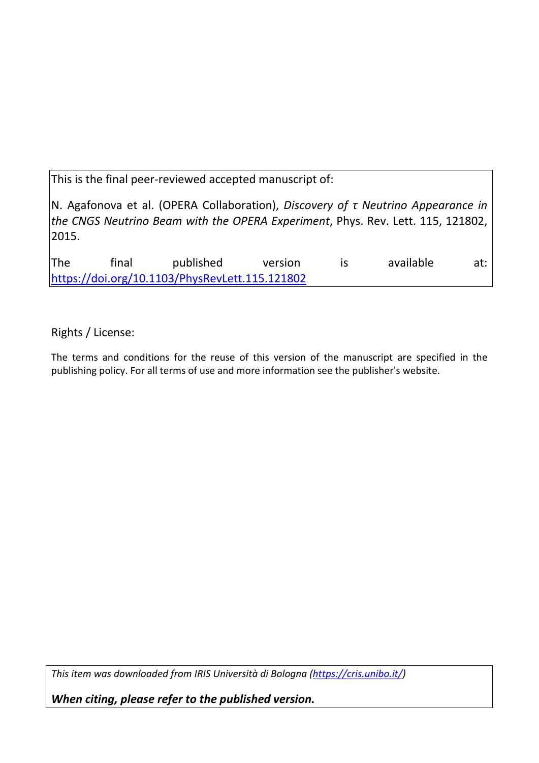This is the final peer-reviewed accepted manuscript of:

N. Agafonova et al. (OPERA Collaboration), *Discovery of τ Neutrino Appearance in the CNGS Neutrino Beam with the OPERA Experiment*, Phys. Rev. Lett. 115, 121802, 2015.

The final published version is available at: <https://doi.org/10.1103/PhysRevLett.115.121802>

Rights / License:

The terms and conditions for the reuse of this version of the manuscript are specified in the publishing policy. For all terms of use and more information see the publisher's website.

*This item was downloaded from IRIS Università di Bologna [\(https://cris.unibo.it/\)](https://cris.unibo.it/)*

*When citing, please refer to the published version.*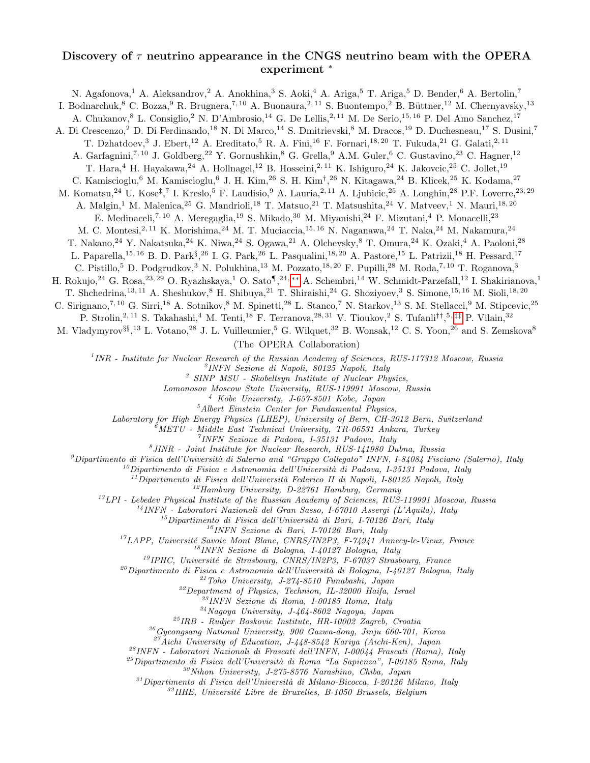## Discovery of  $\tau$  neutrino appearance in the CNGS neutrino beam with the OPERA experiment <sup>∗</sup>

N. Agafonova,<sup>1</sup> A. Aleksandrov,<sup>2</sup> A. Anokhina,<sup>3</sup> S. Aoki,<sup>4</sup> A. Ariga,<sup>5</sup> T. Ariga,<sup>5</sup> D. Bender,<sup>6</sup> A. Bertolin,<sup>7</sup> I. Bodnarchuk,<sup>8</sup> C. Bozza,<sup>9</sup> R. Brugnera,<sup>7, 10</sup> A. Buonaura,<sup>2, 11</sup> S. Buontempo,<sup>2</sup> B. Büttner,<sup>12</sup> M. Chernyavsky,<sup>13</sup> A. Chukanov, <sup>8</sup> L. Consiglio, <sup>2</sup> N. D'Ambrosio, <sup>14</sup> G. De Lellis, <sup>2, 11</sup> M. De Serio, <sup>15, 16</sup> P. Del Amo Sanchez, <sup>17</sup> A. Di Crescenzo,<sup>2</sup> D. Di Ferdinando,<sup>18</sup> N. Di Marco,<sup>14</sup> S. Dmitrievski,<sup>8</sup> M. Dracos,<sup>19</sup> D. Duchesneau,<sup>17</sup> S. Dusini,<sup>7</sup> T. Dzhatdoev,<sup>3</sup> J. Ebert,<sup>12</sup> A. Ereditato,<sup>5</sup> R. A. Fini,<sup>16</sup> F. Fornari,<sup>18, 20</sup> T. Fukuda,<sup>21</sup> G. Galati,<sup>2, 11</sup> A. Garfagnini,<sup>7, 10</sup> J. Goldberg,<sup>22</sup> Y. Gornushkin,<sup>8</sup> G. Grella,<sup>9</sup> A.M. Guler,<sup>6</sup> C. Gustavino,<sup>23</sup> C. Hagner,<sup>12</sup> T. Hara,<sup>4</sup> H. Hayakawa,<sup>24</sup> A. Hollnagel,<sup>12</sup> B. Hosseini,<sup>2, 11</sup> K. Ishiguro,<sup>24</sup> K. Jakovcic,<sup>25</sup> C. Jollet,<sup>19</sup> C. Kamiscioglu,<sup>6</sup> M. Kamiscioglu,<sup>6</sup> J. H. Kim,<sup>26</sup> S. H. Kim<sup>†</sup>,<sup>26</sup> N. Kitagawa,<sup>24</sup> B. Klicek,<sup>25</sup> K. Kodama,<sup>27</sup> M. Komatsu,<sup>24</sup> U. Kose<sup>‡</sup>,<sup>7</sup> I. Kreslo,<sup>5</sup> F. Laudisio,<sup>9</sup> A. Lauria,<sup>2, 11</sup> A. Ljubicic,<sup>25</sup> A. Longhin,<sup>28</sup> P.F. Loverre,<sup>23, 29</sup> A. Malgin,<sup>1</sup> M. Malenica,<sup>25</sup> G. Mandrioli,<sup>18</sup> T. Matsuo,<sup>21</sup> T. Matsushita,<sup>24</sup> V. Matveev,<sup>1</sup> N. Mauri,<sup>18,20</sup> E. Medinaceli,<sup>7, 10</sup> A. Meregaglia,<sup>19</sup> S. Mikado,<sup>30</sup> M. Miyanishi,<sup>24</sup> F. Mizutani,<sup>4</sup> P. Monacelli,<sup>23</sup> M. C. Montesi,<sup>2, 11</sup> K. Morishima,<sup>24</sup> M. T. Muciaccia,<sup>15, 16</sup> N. Naganawa,<sup>24</sup> T. Naka,<sup>24</sup> M. Nakamura,<sup>24</sup> T. Nakano,  $^{24}$  Y. Nakatsuka,  $^{24}$  K. Niwa,  $^{24}$  S. Ogawa,  $^{21}$  A. Olchevsky,  $^8$  T. Omura,  $^{24}$  K. Ozaki,  $^4$  A. Paoloni,  $^{28}$ L. Paparella,<sup>15, 16</sup> B. D. Park<sup>§</sup>,<sup>26</sup> I. G. Park,<sup>26</sup> L. Pasqualini,<sup>18, 20</sup> A. Pastore,<sup>15</sup> L. Patrizii,<sup>18</sup> H. Pessard,<sup>17</sup> C. Pistillo,<sup>5</sup> D. Podgrudkov,<sup>3</sup> N. Polukhina,<sup>13</sup> M. Pozzato,<sup>18, 20</sup> F. Pupilli,<sup>28</sup> M. Roda,<sup>7, 10</sup> T. Roganova,<sup>3</sup> H. Rokujo,<sup>24</sup> G. Rosa,<sup>23, 29</sup> O. Ryazhskaya,<sup>1</sup> O. Sato¶,<sup>24,\*\*</sup> A. Schembri,<sup>14</sup> W. Schmidt-Parzefall,<sup>12</sup> I. Shakirianova,<sup>1</sup> T. Shchedrina,<sup>13, 11</sup> A. Sheshukov,<sup>8</sup> H. Shibuya,<sup>21</sup> T. Shiraishi,<sup>24</sup> G. Shoziyoev,<sup>3</sup> S. Simone,<sup>15, 16</sup> M. Sioli,<sup>18, 20</sup> C. Sirignano,<sup>7, 10</sup> G. Sirri,<sup>18</sup> A. Sotnikov,<sup>8</sup> M. Spinetti,<sup>28</sup> L. Stanco,<sup>7</sup> N. Starkov,<sup>13</sup> S. M. Stellacci,<sup>9</sup> M. Stipcevic,<sup>25</sup> P. Strolin,<sup>2, 11</sup> S. Takahashi,<sup>4</sup> M. Tenti,<sup>18</sup> F. Terranova,<sup>28, 31</sup> V. Tioukov,<sup>2</sup> S. Tufanli<sup>††</sup>,<sup>5,[‡‡](#page-7-1)</sup> P. Vilain,<sup>32</sup> M. Vladymyrov<sup>§§</sup>,<sup>13</sup> L. Votano,<sup>28</sup> J. L. Vuilleumier,<sup>5</sup> G. Wilquet,<sup>32</sup> B. Wonsak,<sup>12</sup> C. S. Yoon,<sup>26</sup> and S. Zemskova<sup>8</sup> (The OPERA Collaboration) <sup>1</sup> INR - Institute for Nuclear Research of the Russian Academy of Sciences, RUS-117312 Moscow, Russia 2 INFN Sezione di Napoli, 80125 Napoli, Italy  $3$  SINP MSU - Skobeltsyn Institute of Nuclear Physics, Lomonosov Moscow State University, RUS-119991 Moscow, Russia <sup>4</sup> Kobe University, J-657-8501 Kobe, Japan  $<sup>5</sup> Albert Einstein Center for Fundamental Physics,$ </sup> Laboratory for High Energy Physics (LHEP), University of Bern, CH-3012 Bern, Switzerland  $\hat{\theta}$ METU - Middle East Technical University, TR-06531 Ankara, Turkey 7 INFN Sezione di Padova, I-35131 Padova, Italy 8 JINR - Joint Institute for Nuclear Research, RUS-141980 Dubna, Russia <sup>9</sup>Dipartimento di Fisica dell'Università di Salerno and "Gruppo Collegato" INFN, I-84084 Fisciano (Salerno), Italy <sup>10</sup>Dipartimento di Fisica e Astronomia dell'Università di Padova, I-35131 Padova, Italy  $^{11}$ Dipartimento di Fisica dell'Università Federico II di Napoli, I-80125 Napoli, Italy  $12$ Hamburg University, D-22761 Hamburg, Germany  $13$  LPI - Lebedev Physical Institute of the Russian Academy of Sciences, RUS-119991 Moscow, Russia <sup>14</sup>INFN - Laboratori Nazionali del Gran Sasso, I-67010 Assergi (L'Aquila), Italy  $^{15}$ Dipartimento di Fisica dell'Università di Bari, I-70126 Bari, Italy <sup>16</sup>INFN Sezione di Bari, I-70126 Bari, Italy  $17$ LAPP, Université Savoie Mont Blanc, CNRS/IN2P3, F-74941 Annecy-le-Vieux, France <sup>18</sup>INFN Sezione di Bologna, I-40127 Bologna, Italy  $19$ IPHC, Université de Strasbourg, CNRS/IN2P3, F-67037 Strasbourg, France <sup>20</sup>Dipartimento di Fisica e Astronomia dell'Università di Bologna, I-40127 Bologna, Italy  $^{21}$ Toho University, J-274-8510 Funabashi, Japan <sup>22</sup>Department of Physics, Technion, IL-32000 Haifa, Israel  $^{23}$ INFN Sezione di Roma, I-00185 Roma, Italy  $^{24}N$ agoya University, J-464-8602 Nagoya, Japan <sup>25</sup>IRB - Rudjer Boskovic Institute, HR-10002 Zagreb, Croatia  $^{26}Gyeongsang National University, 900 Gazwa-dong, Jinju 660-701, Korea$  $27$ Aichi University of Education, J-448-8542 Kariya (Aichi-Ken), Japan <sup>28</sup>INFN - Laboratori Nazionali di Frascati dell'INFN, I-00044 Frascati (Roma), Italy  $^{29}$ Dipartimento di Fisica dell'Università di Roma "La Sapienza", I-00185 Roma, Italy  $30$ Nihon University, J-275-8576 Narashino, Chiba, Japan  $31$ Dipartimento di Fisica dell'Università di Milano-Bicocca, I-20126 Milano, Italy

 $32$ IIHE, Université Libre de Bruxelles, B-1050 Brussels, Belgium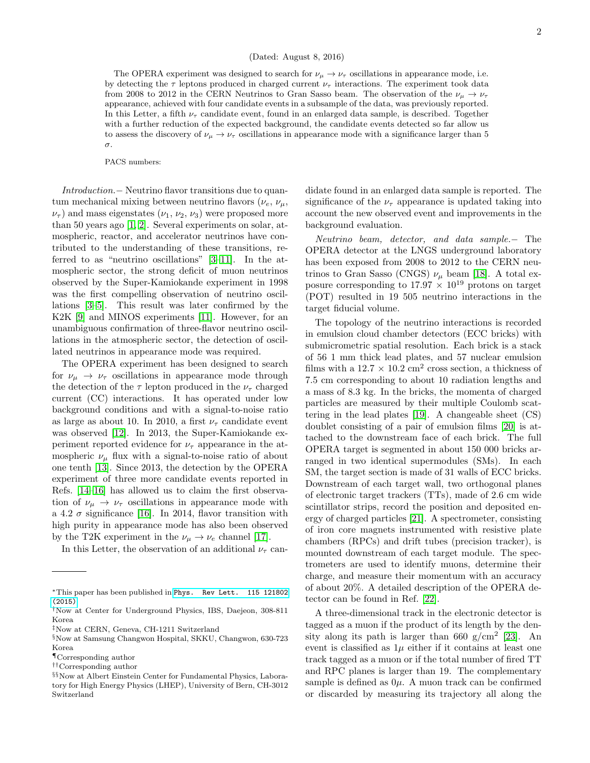The OPERA experiment was designed to search for  $\nu_{\mu} \rightarrow \nu_{\tau}$  oscillations in appearance mode, i.e. by detecting the  $\tau$  leptons produced in charged current  $\nu_{\tau}$  interactions. The experiment took data from 2008 to 2012 in the CERN Neutrinos to Gran Sasso beam. The observation of the  $\nu_{\mu} \rightarrow \nu_{\tau}$ appearance, achieved with four candidate events in a subsample of the data, was previously reported. In this Letter, a fifth  $\nu_{\tau}$  candidate event, found in an enlarged data sample, is described. Together with a further reduction of the expected background, the candidate events detected so far allow us to assess the discovery of  $\nu_{\mu} \rightarrow \nu_{\tau}$  oscillations in appearance mode with a significance larger than 5 σ.

PACS numbers:

Introduction.− Neutrino flavor transitions due to quantum mechanical mixing between neutrino flavors  $(\nu_e, \nu_\mu,$  $\nu_{\tau}$ ) and mass eigenstates  $(\nu_1, \nu_2, \nu_3)$  were proposed more than 50 years ago [\[1,](#page-7-2) [2\]](#page-7-3). Several experiments on solar, atmospheric, reactor, and accelerator neutrinos have contributed to the understanding of these transitions, referred to as "neutrino oscillations" [\[3–](#page-7-4)[11\]](#page-7-5). In the atmospheric sector, the strong deficit of muon neutrinos observed by the Super-Kamiokande experiment in 1998 was the first compelling observation of neutrino oscillations [\[3–](#page-7-4)[5\]](#page-7-6). This result was later confirmed by the K2K [\[9\]](#page-7-7) and MINOS experiments [\[11\]](#page-7-5). However, for an unambiguous confirmation of three-flavor neutrino oscillations in the atmospheric sector, the detection of oscillated neutrinos in appearance mode was required.

The OPERA experiment has been designed to search for  $\nu_{\mu} \rightarrow \nu_{\tau}$  oscillations in appearance mode through the detection of the  $\tau$  lepton produced in the  $\nu_{\tau}$  charged current (CC) interactions. It has operated under low background conditions and with a signal-to-noise ratio as large as about 10. In 2010, a first  $\nu_{\tau}$  candidate event was observed [\[12\]](#page-7-8). In 2013, the Super-Kamiokande experiment reported evidence for  $\nu_{\tau}$  appearance in the atmospheric  $\nu_{\mu}$  flux with a signal-to-noise ratio of about one tenth [\[13\]](#page-7-9). Since 2013, the detection by the OPERA experiment of three more candidate events reported in Refs. [\[14](#page-7-10)[–16\]](#page-7-11) has allowed us to claim the first observation of  $\nu_{\mu} \rightarrow \nu_{\tau}$  oscillations in appearance mode with a 4.2  $\sigma$  significance [\[16\]](#page-7-11). In 2014, flavor transition with high purity in appearance mode has also been observed by the T2K experiment in the  $\nu_\mu \rightarrow \nu_e$  channel [\[17\]](#page-7-12).

In this Letter, the observation of an additional  $\nu_{\tau}$  can-

didate found in an enlarged data sample is reported. The significance of the  $\nu_{\tau}$  appearance is updated taking into account the new observed event and improvements in the background evaluation.

Neutrino beam, detector, and data sample.− The OPERA detector at the LNGS underground laboratory has been exposed from 2008 to 2012 to the CERN neutrinos to Gran Sasso (CNGS)  $\nu_{\mu}$  beam [\[18\]](#page-7-13). A total exposure corresponding to 17.97  $\times$   $10^{19}$  protons on target (POT) resulted in 19 505 neutrino interactions in the target fiducial volume.

The topology of the neutrino interactions is recorded in emulsion cloud chamber detectors (ECC bricks) with submicrometric spatial resolution. Each brick is a stack of 56 1 mm thick lead plates, and 57 nuclear emulsion films with a  $12.7 \times 10.2$  cm<sup>2</sup> cross section, a thickness of 7.5 cm corresponding to about 10 radiation lengths and a mass of 8.3 kg. In the bricks, the momenta of charged particles are measured by their multiple Coulomb scattering in the lead plates [\[19\]](#page-7-14). A changeable sheet (CS) doublet consisting of a pair of emulsion films [\[20\]](#page-7-15) is attached to the downstream face of each brick. The full OPERA target is segmented in about 150 000 bricks arranged in two identical supermodules (SMs). In each SM, the target section is made of 31 walls of ECC bricks. Downstream of each target wall, two orthogonal planes of electronic target trackers (TTs), made of 2.6 cm wide scintillator strips, record the position and deposited energy of charged particles [\[21\]](#page-7-16). A spectrometer, consisting of iron core magnets instrumented with resistive plate chambers (RPCs) and drift tubes (precision tracker), is mounted downstream of each target module. The spectrometers are used to identify muons, determine their charge, and measure their momentum with an accuracy of about 20%. A detailed description of the OPERA detector can be found in Ref. [\[22\]](#page-7-17).

A three-dimensional track in the electronic detector is tagged as a muon if the product of its length by the den-sity along its path is larger than 660 g/cm<sup>2</sup> [\[23\]](#page-7-18). An event is classified as  $1\mu$  either if it contains at least one track tagged as a muon or if the total number of fired TT and RPC planes is larger than 19. The complementary sample is defined as  $0\mu$ . A muon track can be confirmed or discarded by measuring its trajectory all along the

<sup>∗</sup>This paper has been published in [Phys. Rev Lett. 115 121802](http://dx.doi.org/10.1103/PhysRevLett.115.121802) [\(2015\)](http://dx.doi.org/10.1103/PhysRevLett.115.121802)

<sup>†</sup>Now at Center for Underground Physics, IBS, Daejeon, 308-811 Korea

<sup>‡</sup>Now at CERN, Geneva, CH-1211 Switzerland

<sup>§</sup>Now at Samsung Changwon Hospital, SKKU, Changwon, 630-723 Korea

<sup>¶</sup>Corresponding author

<sup>††</sup>Corresponding author

<sup>§§</sup>Now at Albert Einstein Center for Fundamental Physics, Laboratory for High Energy Physics (LHEP), University of Bern, CH-3012 Switzerland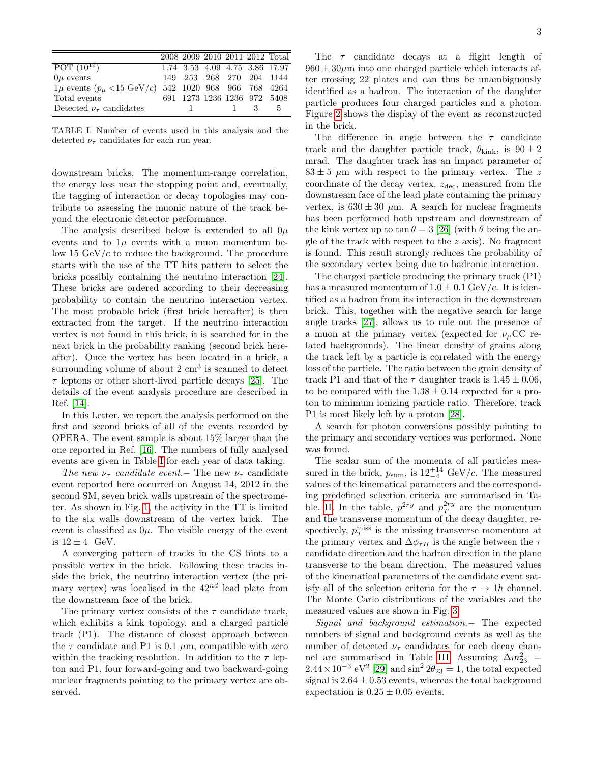|                                                               |              |  |             | 2008 2009 2010 2011 2012 Total |
|---------------------------------------------------------------|--------------|--|-------------|--------------------------------|
| POT $(10^{19})$                                               |              |  |             | 1.74 3.53 4.09 4.75 3.86 17.97 |
| $0\mu$ events                                                 |              |  |             | 149 253 268 270 204 1144       |
| $1\mu$ events $(p_{\mu}$ <15 GeV/c) 542 1020 968 966 768 4264 |              |  |             |                                |
| Total events                                                  |              |  |             | 691 1273 1236 1236 972 5408    |
| Detected $\nu_{\tau}$ candidates                              | $\mathbf{1}$ |  | $1 \t3 \t5$ |                                |

<span id="page-3-0"></span>TABLE I: Number of events used in this analysis and the detected  $\nu_{\tau}$  candidates for each run year.

downstream bricks. The momentum-range correlation, the energy loss near the stopping point and, eventually, the tagging of interaction or decay topologies may contribute to assessing the muonic nature of the track beyond the electronic detector performance.

The analysis described below is extended to all  $0\mu$ events and to  $1\mu$  events with a muon momentum below 15  $GeV/c$  to reduce the background. The procedure starts with the use of the TT hits pattern to select the bricks possibly containing the neutrino interaction [\[24\]](#page-7-19). These bricks are ordered according to their decreasing probability to contain the neutrino interaction vertex. The most probable brick (first brick hereafter) is then extracted from the target. If the neutrino interaction vertex is not found in this brick, it is searched for in the next brick in the probability ranking (second brick hereafter). Once the vertex has been located in a brick, a surrounding volume of about  $2 \text{ cm}^3$  is scanned to detect  $\tau$  leptons or other short-lived particle decays [\[25\]](#page-7-20). The details of the event analysis procedure are described in Ref. [\[14\]](#page-7-10).

In this Letter, we report the analysis performed on the first and second bricks of all of the events recorded by OPERA. The event sample is about 15% larger than the one reported in Ref. [\[16\]](#page-7-11). The numbers of fully analysed events are given in Table [I](#page-3-0) for each year of data taking.

The new  $\nu_{\tau}$  candidate event.− The new  $\nu_{\tau}$  candidate event reported here occurred on August 14, 2012 in the second SM, seven brick walls upstream of the spectrometer. As shown in Fig. [1,](#page-4-0) the activity in the TT is limited to the six walls downstream of the vertex brick. The event is classified as  $0\mu$ . The visible energy of the event is  $12 \pm 4$  GeV.

A converging pattern of tracks in the CS hints to a possible vertex in the brick. Following these tracks inside the brick, the neutrino interaction vertex (the primary vertex) was localised in the  $42^{nd}$  lead plate from the downstream face of the brick.

The primary vertex consists of the  $\tau$  candidate track, which exhibits a kink topology, and a charged particle track (P1). The distance of closest approach between the  $\tau$  candidate and P1 is 0.1  $\mu$ m, compatible with zero within the tracking resolution. In addition to the  $\tau$  lepton and P1, four forward-going and two backward-going nuclear fragments pointing to the primary vertex are observed.

in the brick. The difference in angle between the  $\tau$  candidate track and the daughter particle track,  $\theta_{\text{kink}}$ , is  $90 \pm 2$ mrad. The daughter track has an impact parameter of  $83 \pm 5$  µm with respect to the primary vertex. The z coordinate of the decay vertex,  $z_{\text{dec}}$ , measured from the downstream face of the lead plate containing the primary vertex, is  $630 \pm 30 \mu$ m. A search for nuclear fragments has been performed both upstream and downstream of the kink vertex up to tan  $\theta = 3$  [\[26\]](#page-7-21) (with  $\theta$  being the angle of the track with respect to the z axis). No fragment is found. This result strongly reduces the probability of the secondary vertex being due to hadronic interaction.

particle produces four charged particles and a photon. Figure [2](#page-4-1) shows the display of the event as reconstructed

The charged particle producing the primary track (P1) has a measured momentum of  $1.0 \pm 0.1$  GeV/c. It is identified as a hadron from its interaction in the downstream brick. This, together with the negative search for large angle tracks [\[27\]](#page-7-22), allows us to rule out the presence of a muon at the primary vertex (expected for  $\nu_\mu$ CC related backgrounds). The linear density of grains along the track left by a particle is correlated with the energy loss of the particle. The ratio between the grain density of track P1 and that of the  $\tau$  daughter track is  $1.45 \pm 0.06$ , to be compared with the  $1.38 \pm 0.14$  expected for a proton to minimum ionizing particle ratio. Therefore, track P1 is most likely left by a proton [\[28\]](#page-7-23).

A search for photon conversions possibly pointing to the primary and secondary vertices was performed. None was found.

The scalar sum of the momenta of all particles measured in the brick,  $p_{\text{sum}}$ , is  $12^{+14}_{-4}$  GeV/c. The measured values of the kinematical parameters and the corresponding predefined selection criteria are summarised in Ta-ble. [II.](#page-4-2) In the table,  $p^{2ry}$  and  $p_T^{2ry}$  are the momentum and the transverse momentum of the decay daughter, respectively,  $p_T^{\text{miss}}$  is the missing transverse momentum at the primary vertex and  $\Delta \phi_{\tau H}$  is the angle between the  $\tau$ candidate direction and the hadron direction in the plane transverse to the beam direction. The measured values of the kinematical parameters of the candidate event satisfy all of the selection criteria for the  $\tau \to 1h$  channel. The Monte Carlo distributions of the variables and the measured values are shown in Fig. [3.](#page-5-0)

Signal and background estimation.− The expected numbers of signal and background events as well as the number of detected  $\nu_{\tau}$  candidates for each decay chan-nel are summarised in Table [III.](#page-6-0) Assuming  $\Delta m_{23}^2$  =  $2.44 \times 10^{-3}$  eV<sup>2</sup> [\[29\]](#page-7-24) and sin<sup>2</sup> 2 $\theta_{23} = 1$ , the total expected signal is  $2.64 \pm 0.53$  events, whereas the total background expectation is  $0.25 \pm 0.05$  events.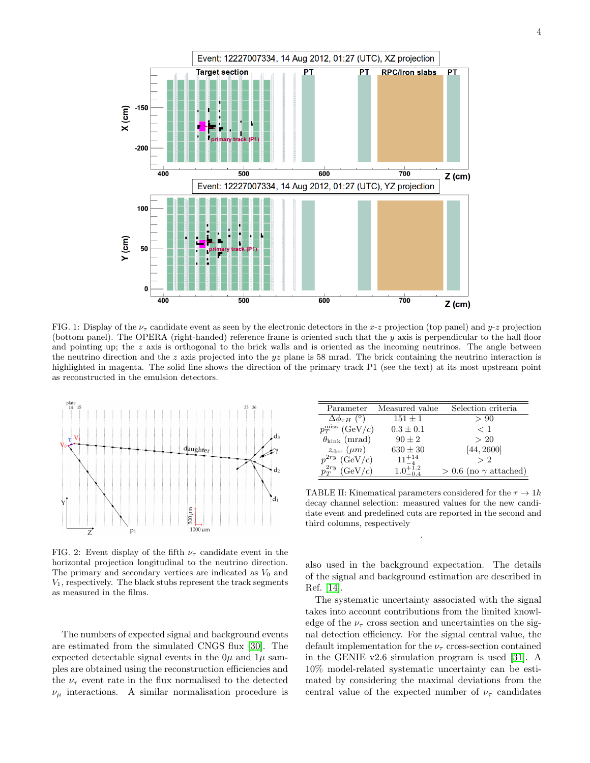

<span id="page-4-0"></span>FIG. 1: Display of the  $\nu_{\tau}$  candidate event as seen by the electronic detectors in the x-z projection (top panel) and  $y$ -z projection (bottom panel). The OPERA (right-handed) reference frame is oriented such that the  $y$  axis is perpendicular to the hall floor and pointing up; the  $z$  axis is orthogonal to the brick walls and is oriented as the incoming neutrinos. The angle between the neutrino direction and the z axis projected into the  $yz$  plane is 58 mrad. The brick containing the neutrino interaction is highlighted in magenta. The solid line shows the direction of the primary track P1 (see the text) at its most upstream point as reconstructed in the emulsion detectors.



<span id="page-4-1"></span>FIG. 2: Event display of the fifth  $\nu_{\tau}$  candidate event in the horizontal projection longitudinal to the neutrino direction. The primary and secondary vertices are indicated as  $V_0$  and  $V_1$ , respectively. The black stubs represent the track segments as measured in the films.

The numbers of expected signal and background events are estimated from the simulated CNGS flux [\[30\]](#page-7-25). The expected detectable signal events in the  $0\mu$  and  $1\mu$  samples are obtained using the reconstruction efficiencies and the  $\nu_{\tau}$  event rate in the flux normalised to the detected  $\nu_{\mu}$  interactions. A similar normalisation procedure is

| Parameter                   | Measured value      | Selection criteria             |
|-----------------------------|---------------------|--------------------------------|
| $\Delta\phi_{\tau H}$ (°)   | $151 \pm 1$         | > 90                           |
| $p_T^{\text{miss}}$ (GeV/c) | $0.3 \pm 0.1$       | $<$ 1                          |
| $\theta_{\rm kink}$ (mrad)  | $90 \pm 2$          | >20                            |
| $z_{\rm dec}~(\mu m)$       | $630 \pm 30$        | [44, 2600]                     |
| $p^{2ry}$ (GeV/c)           | $11^{+14}_{-4}$     | > 2                            |
| (GeV/c)                     | $1.0^{+1.2}_{-0.4}$ | $> 0.6$ (no $\gamma$ attached) |

<span id="page-4-2"></span>TABLE II: Kinematical parameters considered for the  $\tau \to 1h$ decay channel selection: measured values for the new candidate event and predefined cuts are reported in the second and third columns, respectively

.

also used in the background expectation. The details of the signal and background estimation are described in Ref. [\[14\]](#page-7-10).

The systematic uncertainty associated with the signal takes into account contributions from the limited knowledge of the  $\nu_{\tau}$  cross section and uncertainties on the signal detection efficiency. For the signal central value, the default implementation for the  $\nu_{\tau}$  cross-section contained in the GENIE v2.6 simulation program is used [\[31\]](#page-7-26). A 10% model-related systematic uncertainty can be estimated by considering the maximal deviations from the central value of the expected number of  $\nu_{\tau}$  candidates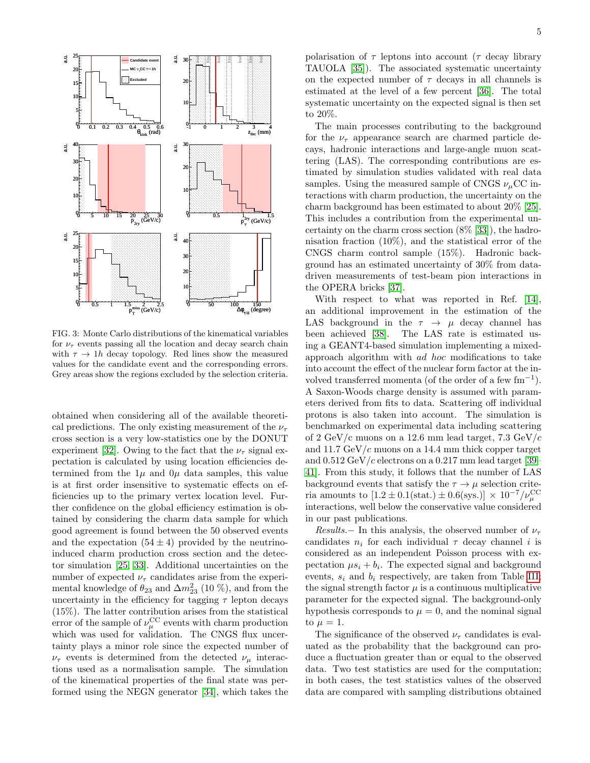

<span id="page-5-0"></span>FIG. 3: Monte Carlo distributions of the kinematical variables for  $\nu_{\tau}$  events passing all the location and decay search chain with  $\tau \to 1h$  decay topology. Red lines show the measured values for the candidate event and the corresponding errors. Grey areas show the regions excluded by the selection criteria.

obtained when considering all of the available theoretical predictions. The only existing measurement of the  $\nu_{\tau}$ cross section is a very low-statistics one by the DONUT experiment [\[32\]](#page-7-27). Owing to the fact that the  $\nu_{\tau}$  signal expectation is calculated by using location efficiencies determined from the  $1\mu$  and  $0\mu$  data samples, this value is at first order insensitive to systematic effects on efficiencies up to the primary vertex location level. Further confidence on the global efficiency estimation is obtained by considering the charm data sample for which good agreement is found between the 50 observed events and the expectation  $(54 \pm 4)$  provided by the neutrinoinduced charm production cross section and the detector simulation [\[25,](#page-7-20) [33\]](#page-7-28). Additional uncertainties on the number of expected  $\nu_{\tau}$  candidates arise from the experimental knowledge of  $\theta_{23}$  and  $\Delta m^2_{23}$  (10 %), and from the uncertainty in the efficiency for tagging  $\tau$  lepton decays (15%). The latter contribution arises from the statistical error of the sample of  $\nu_{\mu}^{\rm CC}$  events with charm production which was used for validation. The CNGS flux uncertainty plays a minor role since the expected number of  $\nu_{\tau}$  events is determined from the detected  $\nu_{\mu}$  interactions used as a normalisation sample. The simulation of the kinematical properties of the final state was performed using the NEGN generator [\[34\]](#page-7-29), which takes the

polarisation of  $\tau$  leptons into account ( $\tau$  decay library TAUOLA [\[35\]](#page-7-30)). The associated systematic uncertainty on the expected number of  $\tau$  decays in all channels is estimated at the level of a few percent [\[36\]](#page-7-31). The total systematic uncertainty on the expected signal is then set to 20%.

The main processes contributing to the background for the  $\nu_{\tau}$  appearance search are charmed particle decays, hadronic interactions and large-angle muon scattering (LAS). The corresponding contributions are estimated by simulation studies validated with real data samples. Using the measured sample of CNGS  $\nu_{\mu}$ CC interactions with charm production, the uncertainty on the charm background has been estimated to about 20% [\[25\]](#page-7-20). This includes a contribution from the experimental uncertainty on the charm cross section (8% [\[33\]](#page-7-28)), the hadronisation fraction (10%), and the statistical error of the CNGS charm control sample (15%). Hadronic background has an estimated uncertainty of 30% from datadriven measurements of test-beam pion interactions in the OPERA bricks [\[37\]](#page-7-32).

With respect to what was reported in Ref. [\[14\]](#page-7-10), an additional improvement in the estimation of the LAS background in the  $\tau \rightarrow \mu$  decay channel has been achieved [\[38\]](#page-7-33). The LAS rate is estimated using a GEANT4-based simulation implementing a mixedapproach algorithm with ad hoc modifications to take into account the effect of the nuclear form factor at the involved transferred momenta (of the order of a few  $\text{fm}^{-1}$ ). A Saxon-Woods charge density is assumed with parameters derived from fits to data. Scattering off individual protons is also taken into account. The simulation is benchmarked on experimental data including scattering of 2 GeV/c muons on a 12.6 mm lead target, 7.3 GeV/c and 11.7 GeV/c muons on a 14.4 mm thick copper target and  $0.512 \,\mathrm{GeV}/c$  electrons on a  $0.217 \,\mathrm{mm}$  lead target [\[39–](#page-7-34) [41\]](#page-7-35). From this study, it follows that the number of LAS background events that satisfy the  $\tau \to \mu$  selection criteria amounts to  $[1.2 \pm 0.1(\text{stat.}) \pm 0.6(\text{sys.})] \times 10^{-7}/\nu_{\mu}^{\text{CC}}$ interactions, well below the conservative value considered in our past publications.

Results.− In this analysis, the observed number of  $\nu_{\tau}$ candidates  $n_i$  for each individual  $\tau$  decay channel i is considered as an independent Poisson process with expectation  $\mu s_i + b_i$ . The expected signal and background events,  $s_i$  and  $b_i$  respectively, are taken from Table [III;](#page-6-0) the signal strength factor  $\mu$  is a continuous multiplicative parameter for the expected signal. The background-only hypothesis corresponds to  $\mu = 0$ , and the nominal signal to  $\mu = 1$ .

The significance of the observed  $\nu_{\tau}$  candidates is evaluated as the probability that the background can produce a fluctuation greater than or equal to the observed data. Two test statistics are used for the computation; in both cases, the test statistics values of the observed data are compared with sampling distributions obtained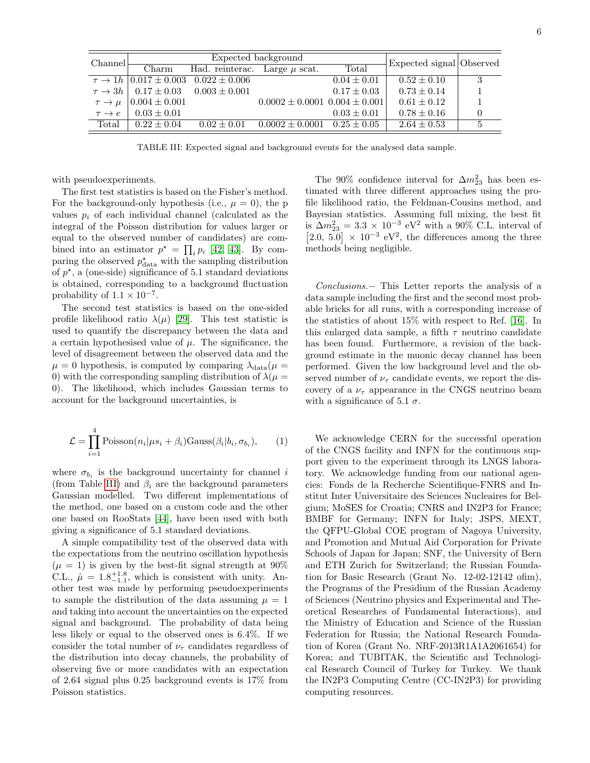| Channel              | Expected background            |                                                             |                                       |                 | Expected signal Observed |   |
|----------------------|--------------------------------|-------------------------------------------------------------|---------------------------------------|-----------------|--------------------------|---|
|                      | Charm                          | Had. reinterac. Large $\mu$ scat.                           |                                       | Total           |                          |   |
|                      |                                | $\tau \rightarrow 1h$   0.017 $\pm$ 0.003 0.022 $\pm$ 0.006 |                                       | $0.04 \pm 0.01$ | $0.52 \pm 0.10$          | 3 |
|                      |                                | $\tau \rightarrow 3h$   0.17 $\pm$ 0.03 0.003 $\pm$ 0.001   |                                       | $0.17 \pm 0.03$ | $0.73 \pm 0.14$          |   |
|                      | $\tau \to \mu$   0.004 ± 0.001 |                                                             | $0.0002 \pm 0.0001$ $0.004 \pm 0.001$ |                 | $0.61 \pm 0.12$          |   |
| $\tau \rightarrow e$ | $0.03 \pm 0.01$                |                                                             |                                       | $0.03 \pm 0.01$ | $0.78 \pm 0.16$          |   |
| Total                | $0.22 + 0.04$                  | $0.02 \pm 0.01$                                             | $0.0002 \pm 0.0001$                   | $0.25 \pm 0.05$ | $2.64 \pm 0.53$          |   |

<span id="page-6-0"></span>TABLE III: Expected signal and background events for the analysed data sample.

with pseudoexperiments.

The first test statistics is based on the Fisher's method. For the background-only hypothesis (i.e.,  $\mu = 0$ ), the p values  $p_i$  of each individual channel (calculated as the integral of the Poisson distribution for values larger or equal to the observed number of candidates) are combined into an estimator  $p^* = \prod_i p_i$  [\[42,](#page-7-36) [43\]](#page-7-37). By comparing the observed  $p_{\text{data}}^{\star}$  with the sampling distribution of  $p^*$ , a (one-side) significance of 5.1 standard deviations is obtained, corresponding to a background fluctuation probability of  $1.1 \times 10^{-7}$ .

The second test statistics is based on the one-sided profile likelihood ratio  $\lambda(\mu)$  [\[29\]](#page-7-24). This test statistic is used to quantify the discrepancy between the data and a certain hypothesised value of  $\mu$ . The significance, the level of disagreement between the observed data and the  $\mu = 0$  hypothesis, is computed by comparing  $\lambda_{data}(\mu =$ 0) with the corresponding sampling distribution of  $\lambda(\mu =$ 0). The likelihood, which includes Gaussian terms to account for the background uncertainties, is

$$
\mathcal{L} = \prod_{i=1}^{4} \text{Poisson}(n_i | \mu s_i + \beta_i) \text{Gauss}(\beta_i | b_i, \sigma_{b_i}), \qquad (1)
$$

where  $\sigma_{b_i}$  is the background uncertainty for channel i (from Table [III\)](#page-6-0) and  $\beta_i$  are the background parameters Gaussian modelled. Two different implementations of the method, one based on a custom code and the other one based on RooStats [\[44\]](#page-7-38), have been used with both giving a significance of 5.1 standard deviations.

A simple compatibility test of the observed data with the expectations from the neutrino oscillation hypothesis  $(\mu = 1)$  is given by the best-fit signal strength at 90% C.L.,  $\hat{\mu} = 1.8^{+1.8}_{-1.1}$ , which is consistent with unity. Another test was made by performing pseudoexperiments to sample the distribution of the data assuming  $\mu = 1$ and taking into account the uncertainties on the expected signal and background. The probability of data being less likely or equal to the observed ones is 6.4%. If we consider the total number of  $\nu_{\tau}$  candidates regardless of the distribution into decay channels, the probability of observing five or more candidates with an expectation of 2.64 signal plus 0.25 background events is 17% from Poisson statistics.

The 90% confidence interval for  $\Delta m^2_{23}$  has been estimated with three different approaches using the profile likelihood ratio, the Feldman-Cousins method, and Bayesian statistics. Assuming full mixing, the best fit is  $\Delta m_{23}^2 = 3.3 \times 10^{-3} \text{ eV}^2$  with a 90% C.L. interval of [2.0, 5.0]  $\times$  10<sup>-3</sup> eV<sup>2</sup>, the differences among the three methods being negligible.

Conclusions.− This Letter reports the analysis of a data sample including the first and the second most probable bricks for all runs, with a corresponding increase of the statistics of about 15% with respect to Ref. [\[16\]](#page-7-11). In this enlarged data sample, a fifth  $\tau$  neutrino candidate has been found. Furthermore, a revision of the background estimate in the muonic decay channel has been performed. Given the low background level and the observed number of  $\nu_{\tau}$  candidate events, we report the discovery of a  $\nu_{\tau}$  appearance in the CNGS neutrino beam with a significance of 5.1  $\sigma$ .

We acknowledge CERN for the successful operation of the CNGS facility and INFN for the continuous support given to the experiment through its LNGS laboratory. We acknowledge funding from our national agencies: Fonds de la Recherche Scientifique-FNRS and Institut Inter Universitaire des Sciences Nucleaires for Belgium; MoSES for Croatia; CNRS and IN2P3 for France; BMBF for Germany; INFN for Italy; JSPS, MEXT, the QFPU-Global COE program of Nagoya University, and Promotion and Mutual Aid Corporation for Private Schools of Japan for Japan; SNF, the University of Bern and ETH Zurich for Switzerland; the Russian Foundation for Basic Research (Grant No. 12-02-12142 ofim), the Programs of the Presidium of the Russian Academy of Sciences (Neutrino physics and Experimental and Theoretical Researches of Fundamental Interactions), and the Ministry of Education and Science of the Russian Federation for Russia; the National Research Foundation of Korea (Grant No. NRF-2013R1A1A2061654) for Korea; and TUBITAK, the Scientific and Technological Research Council of Turkey for Turkey. We thank the IN2P3 Computing Centre (CC-IN2P3) for providing computing resources.